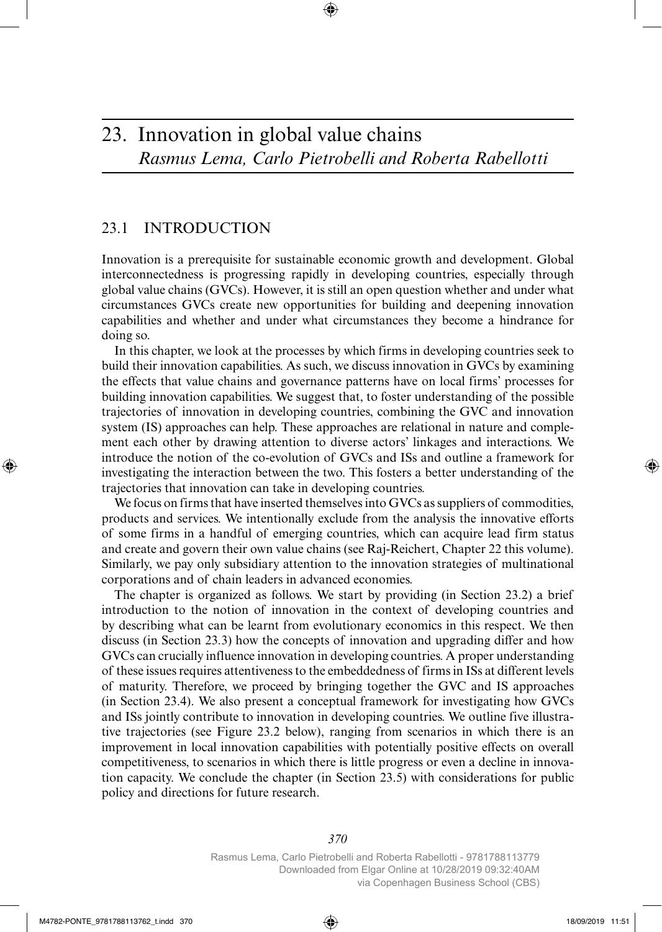### 23.1 INTRODUCTION

Innovation is a prerequisite for sustainable economic growth and development. Global interconnectedness is progressing rapidly in developing countries, especially through global value chains (GVCs). However, it is still an open question whether and under what circumstances GVCs create new opportunities for building and deepening innovation capabilities and whether and under what circumstances they become a hindrance for doing so.

In this chapter, we look at the processes by which firms in developing countries seek to build their innovation capabilities. As such, we discuss innovation in GVCs by examining the effects that value chains and governance patterns have on local firms' processes for building innovation capabilities. We suggest that, to foster understanding of the possible trajectories of innovation in developing countries, combining the GVC and innovation system (IS) approaches can help. These approaches are relational in nature and complement each other by drawing attention to diverse actors' linkages and interactions. We introduce the notion of the co-evolution of GVCs and ISs and outline a framework for investigating the interaction between the two. This fosters a better understanding of the trajectories that innovation can take in developing countries.

We focus on firms that have inserted themselves into GVCs as suppliers of commodities, products and services. We intentionally exclude from the analysis the innovative efforts of some firms in a handful of emerging countries, which can acquire lead firm status and create and govern their own value chains (see Raj-Reichert, Chapter 22 this volume). Similarly, we pay only subsidiary attention to the innovation strategies of multinational corporations and of chain leaders in advanced economies.

The chapter is organized as follows. We start by providing (in Section 23.2) a brief introduction to the notion of innovation in the context of developing countries and by describing what can be learnt from evolutionary economics in this respect. We then discuss (in Section 23.3) how the concepts of innovation and upgrading differ and how GVCs can crucially influence innovation in developing countries. A proper understanding of these issues requires attentiveness to the embeddedness of firms in ISs at different levels of maturity. Therefore, we proceed by bringing together the GVC and IS approaches (in Section 23.4). We also present a conceptual framework for investigating how GVCs and ISs jointly contribute to innovation in developing countries. We outline five illustrative trajectories (see Figure 23.2 below), ranging from scenarios in which there is an improvement in local innovation capabilities with potentially positive effects on overall competitiveness, to scenarios in which there is little progress or even a decline in innovation capacity. We conclude the chapter (in Section 23.5) with considerations for public policy and directions for future research.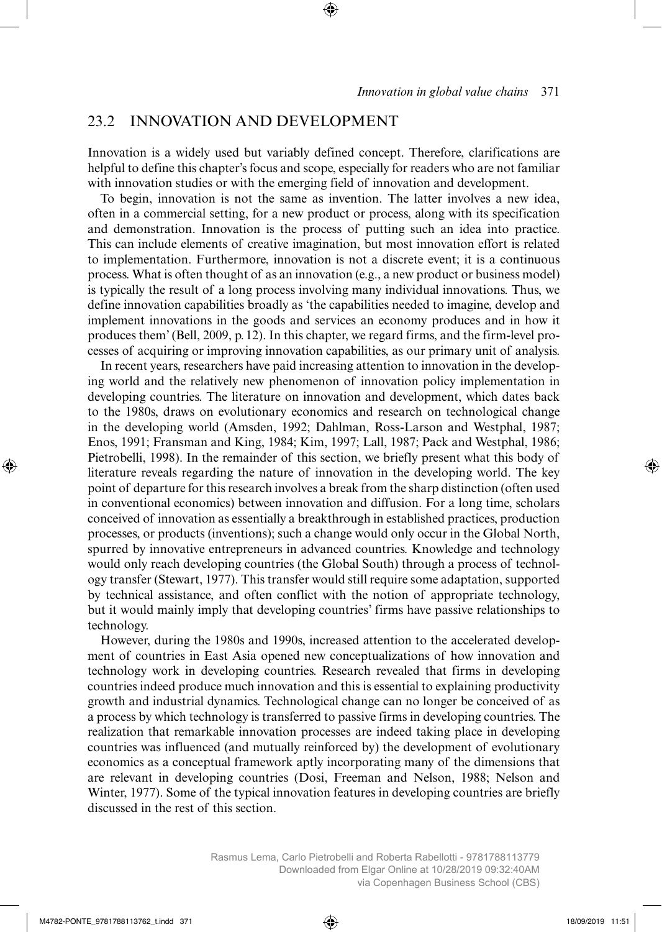### 23.2 INNOVATION AND DEVELOPMENT

Innovation is a widely used but variably defined concept. Therefore, clarifications are helpful to define this chapter's focus and scope, especially for readers who are not familiar with innovation studies or with the emerging field of innovation and development.

To begin, innovation is not the same as invention. The latter involves a new idea, often in a commercial setting, for a new product or process, along with its specification and demonstration. Innovation is the process of putting such an idea into practice. This can include elements of creative imagination, but most innovation effort is related to implementation. Furthermore, innovation is not a discrete event; it is a continuous process. What is often thought of as an innovation (e.g., a new product or business model) is typically the result of a long process involving many individual innovations. Thus, we define innovation capabilities broadly as 'the capabilities needed to imagine, develop and implement innovations in the goods and services an economy produces and in how it produces them' (Bell, 2009, p. 12). In this chapter, we regard firms, and the firm-level processes of acquiring or improving innovation capabilities, as our primary unit of analysis.

In recent years, researchers have paid increasing attention to innovation in the developing world and the relatively new phenomenon of innovation policy implementation in developing countries. The literature on innovation and development, which dates back to the 1980s, draws on evolutionary economics and research on technological change in the developing world (Amsden, 1992; Dahlman, Ross-Larson and Westphal, 1987; Enos, 1991; Fransman and King, 1984; Kim, 1997; Lall, 1987; Pack and Westphal, 1986; Pietrobelli, 1998). In the remainder of this section, we briefly present what this body of literature reveals regarding the nature of innovation in the developing world. The key point of departure for this research involves a break from the sharp distinction (often used in conventional economics) between innovation and diffusion. For a long time, scholars conceived of innovation as essentially a breakthrough in established practices, production processes, or products (inventions); such a change would only occur in the Global North, spurred by innovative entrepreneurs in advanced countries. Knowledge and technology would only reach developing countries (the Global South) through a process of technology transfer (Stewart, 1977). This transfer would still require some adaptation, supported by technical assistance, and often conflict with the notion of appropriate technology, but it would mainly imply that developing countries' firms have passive relationships to technology.

However, during the 1980s and 1990s, increased attention to the accelerated development of countries in East Asia opened new conceptualizations of how innovation and technology work in developing countries. Research revealed that firms in developing countries indeed produce much innovation and this is essential to explaining productivity growth and industrial dynamics. Technological change can no longer be conceived of as a process by which technology is transferred to passive firms in developing countries. The realization that remarkable innovation processes are indeed taking place in developing countries was influenced (and mutually reinforced by) the development of evolutionary economics as a conceptual framework aptly incorporating many of the dimensions that are relevant in developing countries (Dosi, Freeman and Nelson, 1988; Nelson and Winter, 1977). Some of the typical innovation features in developing countries are briefly discussed in the rest of this section.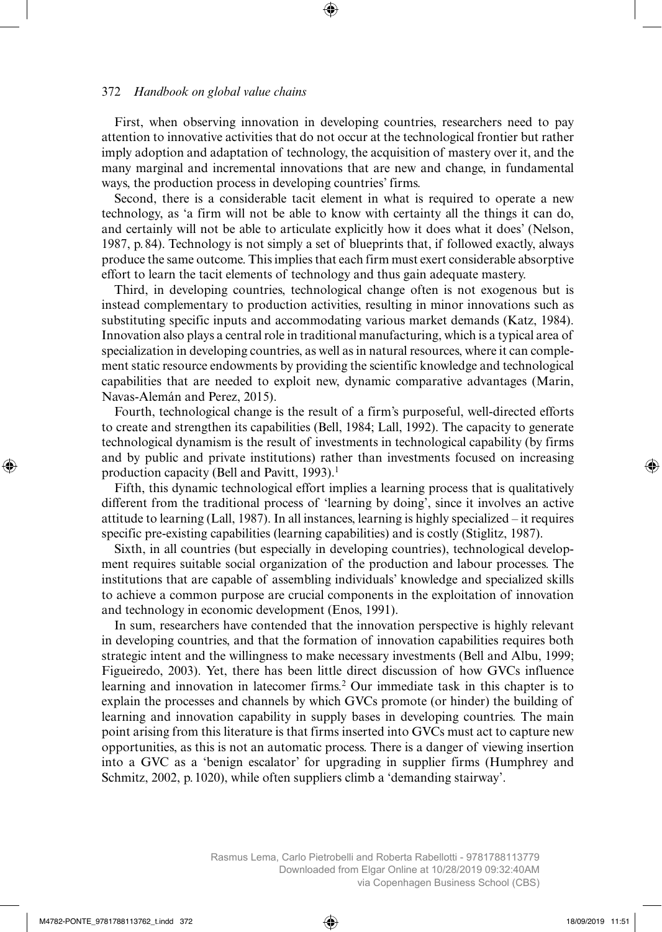First, when observing innovation in developing countries, researchers need to pay attention to innovative activities that do not occur at the technological frontier but rather imply adoption and adaptation of technology, the acquisition of mastery over it, and the many marginal and incremental innovations that are new and change, in fundamental ways, the production process in developing countries' firms.

Second, there is a considerable tacit element in what is required to operate a new technology, as 'a firm will not be able to know with certainty all the things it can do, and certainly will not be able to articulate explicitly how it does what it does' (Nelson, 1987, p. 84). Technology is not simply a set of blueprints that, if followed exactly, always produce the same outcome. This implies that each firm must exert considerable absorptive effort to learn the tacit elements of technology and thus gain adequate mastery.

Third, in developing countries, technological change often is not exogenous but is instead complementary to production activities, resulting in minor innovations such as substituting specific inputs and accommodating various market demands (Katz, 1984). Innovation also plays a central role in traditional manufacturing, which is a typical area of specialization in developing countries, as well as in natural resources, where it can complement static resource endowments by providing the scientific knowledge and technological capabilities that are needed to exploit new, dynamic comparative advantages (Marin, Navas-Alemán and Perez, 2015).

Fourth, technological change is the result of a firm's purposeful, well-directed efforts to create and strengthen its capabilities (Bell, 1984; Lall, 1992). The capacity to generate technological dynamism is the result of investments in technological capability (by firms and by public and private institutions) rather than investments focused on increasing production capacity (Bell and Pavitt, 1993).<sup>1</sup>

Fifth, this dynamic technological effort implies a learning process that is qualitatively different from the traditional process of 'learning by doing', since it involves an active attitude to learning (Lall, 1987). In all instances, learning is highly specialized – it requires specific pre-existing capabilities (learning capabilities) and is costly (Stiglitz, 1987).

Sixth, in all countries (but especially in developing countries), technological development requires suitable social organization of the production and labour processes. The institutions that are capable of assembling individuals' knowledge and specialized skills to achieve a common purpose are crucial components in the exploitation of innovation and technology in economic development (Enos, 1991).

In sum, researchers have contended that the innovation perspective is highly relevant in developing countries, and that the formation of innovation capabilities requires both strategic intent and the willingness to make necessary investments (Bell and Albu, 1999; Figueiredo, 2003). Yet, there has been little direct discussion of how GVCs influence learning and innovation in latecomer firms.<sup>2</sup> Our immediate task in this chapter is to explain the processes and channels by which GVCs promote (or hinder) the building of learning and innovation capability in supply bases in developing countries. The main point arising from this literature is that firms inserted into GVCs must act to capture new opportunities, as this is not an automatic process. There is a danger of viewing insertion into a GVC as a 'benign escalator' for upgrading in supplier firms (Humphrey and Schmitz, 2002, p. 1020), while often suppliers climb a 'demanding stairway'.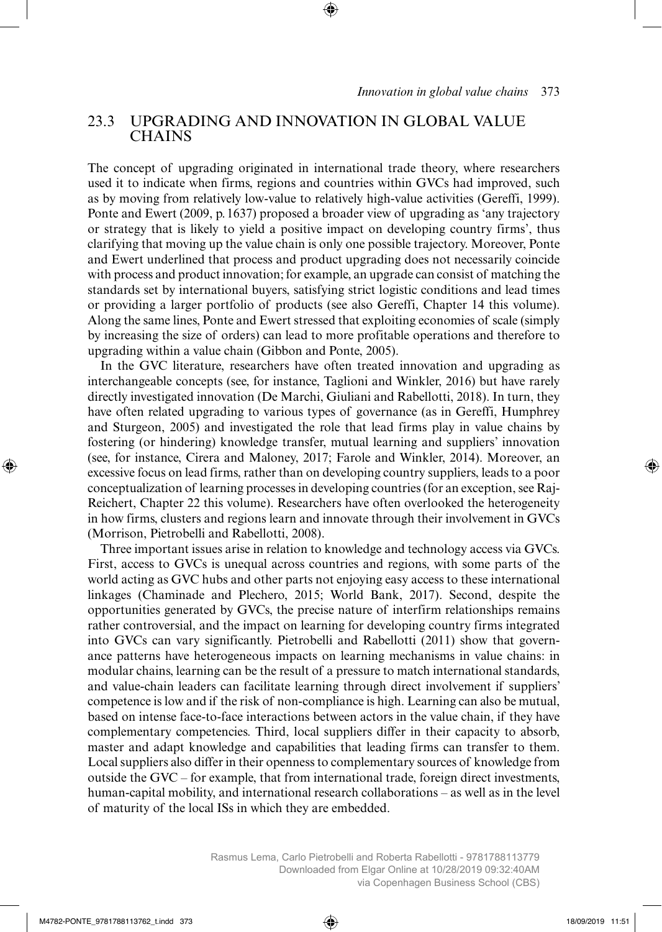## 23.3 UPGRADING AND INNOVATION IN GLOBAL VALUE **CHAINS**

The concept of upgrading originated in international trade theory, where researchers used it to indicate when firms, regions and countries within GVCs had improved, such as by moving from relatively low-value to relatively high-value activities (Gereffi, 1999). Ponte and Ewert (2009, p. 1637) proposed a broader view of upgrading as 'any trajectory or strategy that is likely to yield a positive impact on developing country firms', thus clarifying that moving up the value chain is only one possible trajectory. Moreover, Ponte and Ewert underlined that process and product upgrading does not necessarily coincide with process and product innovation; for example, an upgrade can consist of matching the standards set by international buyers, satisfying strict logistic conditions and lead times or providing a larger portfolio of products (see also Gereffi, Chapter 14 this volume). Along the same lines, Ponte and Ewert stressed that exploiting economies of scale (simply by increasing the size of orders) can lead to more profitable operations and therefore to upgrading within a value chain (Gibbon and Ponte, 2005).

In the GVC literature, researchers have often treated innovation and upgrading as interchangeable concepts (see, for instance, Taglioni and Winkler, 2016) but have rarely directly investigated innovation (De Marchi, Giuliani and Rabellotti, 2018). In turn, they have often related upgrading to various types of governance (as in Gereffi, Humphrey and Sturgeon, 2005) and investigated the role that lead firms play in value chains by fostering (or hindering) knowledge transfer, mutual learning and suppliers' innovation (see, for instance, Cirera and Maloney, 2017; Farole and Winkler, 2014). Moreover, an excessive focus on lead firms, rather than on developing country suppliers, leads to a poor conceptualization of learning processes in developing countries (for an exception, see Raj-Reichert, Chapter 22 this volume). Researchers have often overlooked the heterogeneity in how firms, clusters and regions learn and innovate through their involvement in GVCs (Morrison, Pietrobelli and Rabellotti, 2008).

Three important issues arise in relation to knowledge and technology access via GVCs. First, access to GVCs is unequal across countries and regions, with some parts of the world acting as GVC hubs and other parts not enjoying easy access to these international linkages (Chaminade and Plechero, 2015; World Bank, 2017). Second, despite the opportunities generated by GVCs, the precise nature of interfirm relationships remains rather controversial, and the impact on learning for developing country firms integrated into GVCs can vary significantly. Pietrobelli and Rabellotti (2011) show that governance patterns have heterogeneous impacts on learning mechanisms in value chains: in modular chains, learning can be the result of a pressure to match international standards, and value-chain leaders can facilitate learning through direct involvement if suppliers' competence is low and if the risk of non-compliance is high. Learning can also be mutual, based on intense face-to-face interactions between actors in the value chain, if they have complementary competencies. Third, local suppliers differ in their capacity to absorb, master and adapt knowledge and capabilities that leading firms can transfer to them. Local suppliers also differ in their openness to complementary sources of knowledge from outside the GVC – for example, that from international trade, foreign direct investments, human-capital mobility, and international research collaborations – as well as in the level of maturity of the local ISs in which they are embedded.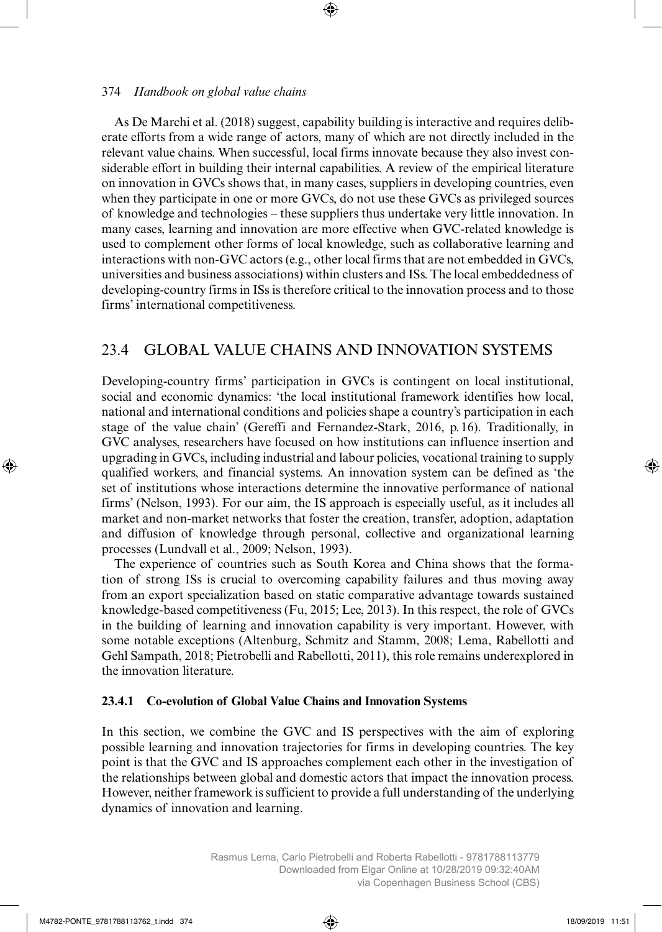As De Marchi et al. (2018) suggest, capability building is interactive and requires deliberate efforts from a wide range of actors, many of which are not directly included in the relevant value chains. When successful, local firms innovate because they also invest considerable effort in building their internal capabilities. A review of the empirical literature on innovation in GVCs shows that, in many cases, suppliers in developing countries, even when they participate in one or more GVCs, do not use these GVCs as privileged sources of knowledge and technologies – these suppliers thus undertake very little innovation. In many cases, learning and innovation are more effective when GVC-related knowledge is used to complement other forms of local knowledge, such as collaborative learning and interactions with non-GVC actors (e.g., other local firms that are not embedded in GVCs, universities and business associations) within clusters and ISs. The local embeddedness of developing-country firms in ISs is therefore critical to the innovation process and to those firms' international competitiveness.

# 23.4 GLOBAL VALUE CHAINS AND INNOVATION SYSTEMS

Developing-country firms' participation in GVCs is contingent on local institutional, social and economic dynamics: 'the local institutional framework identifies how local, national and international conditions and policies shape a country's participation in each stage of the value chain' (Gereffi and Fernandez-Stark, 2016, p. 16). Traditionally, in GVC analyses, researchers have focused on how institutions can influence insertion and upgrading in GVCs, including industrial and labour policies, vocational training to supply qualified workers, and financial systems. An innovation system can be defined as 'the set of institutions whose interactions determine the innovative performance of national firms' (Nelson, 1993). For our aim, the IS approach is especially useful, as it includes all market and non-market networks that foster the creation, transfer, adoption, adaptation and diffusion of knowledge through personal, collective and organizational learning processes (Lundvall et al., 2009; Nelson, 1993).

The experience of countries such as South Korea and China shows that the formation of strong ISs is crucial to overcoming capability failures and thus moving away from an export specialization based on static comparative advantage towards sustained knowledge-based competitiveness (Fu, 2015; Lee, 2013). In this respect, the role of GVCs in the building of learning and innovation capability is very important. However, with some notable exceptions (Altenburg, Schmitz and Stamm, 2008; Lema, Rabellotti and Gehl Sampath, 2018; Pietrobelli and Rabellotti, 2011), this role remains underexplored in the innovation literature.

### **23.4.1 Co-evolution of Global Value Chains and Innovation Systems**

In this section, we combine the GVC and IS perspectives with the aim of exploring possible learning and innovation trajectories for firms in developing countries. The key point is that the GVC and IS approaches complement each other in the investigation of the relationships between global and domestic actors that impact the innovation process. However, neither framework is sufficient to provide a full understanding of the underlying dynamics of innovation and learning.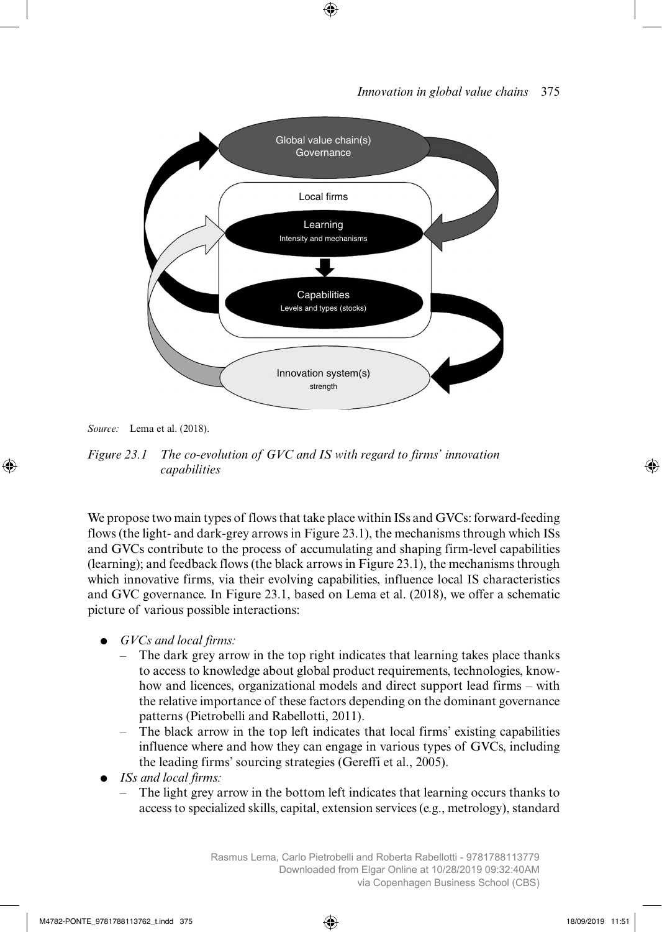

*Source:* Lema et al. (2018).

*Figure 23.1 The co-evolution of GVC and IS with regard to firms' innovation capabilities*

We propose two main types of flows that take place within ISs and GVCs: forward-feeding flows (the light- and dark-grey arrows in Figure 23.1), the mechanisms through which ISs and GVCs contribute to the process of accumulating and shaping firm-level capabilities (learning); and feedback flows (the black arrows in Figure 23.1), the mechanisms through which innovative firms, via their evolving capabilities, influence local IS characteristics and GVC governance. In Figure 23.1, based on Lema et al. (2018), we offer a schematic picture of various possible interactions:

- *GVCs and local firms:*
	- The dark grey arrow in the top right indicates that learning takes place thanks to access to knowledge about global product requirements, technologies, knowhow and licences, organizational models and direct support lead firms – with the relative importance of these factors depending on the dominant governance patterns (Pietrobelli and Rabellotti, 2011).
	- The black arrow in the top left indicates that local firms' existing capabilities influence where and how they can engage in various types of GVCs, including the leading firms' sourcing strategies (Gereffi et al., 2005).
- *ISs and local firms:*
	- The light grey arrow in the bottom left indicates that learning occurs thanks to access to specialized skills, capital, extension services (e.g., metrology), standard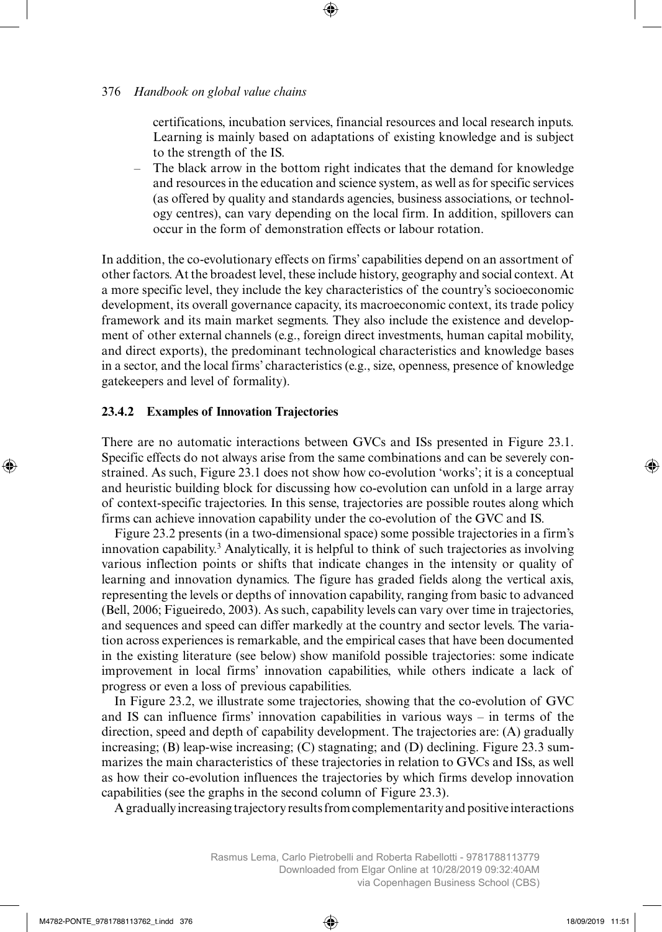certifications, incubation services, financial resources and local research inputs. Learning is mainly based on adaptations of existing knowledge and is subject to the strength of the IS.

– The black arrow in the bottom right indicates that the demand for knowledge and resources in the education and science system, as well as for specific services (as offered by quality and standards agencies, business associations, or technology centres), can vary depending on the local firm. In addition, spillovers can occur in the form of demonstration effects or labour rotation.

In addition, the co-evolutionary effects on firms' capabilities depend on an assortment of other factors. At the broadest level, these include history, geography and social context. At a more specific level, they include the key characteristics of the country's socioeconomic development, its overall governance capacity, its macroeconomic context, its trade policy framework and its main market segments. They also include the existence and development of other external channels (e.g., foreign direct investments, human capital mobility, and direct exports), the predominant technological characteristics and knowledge bases in a sector, and the local firms' characteristics (e.g., size, openness, presence of knowledge gatekeepers and level of formality).

#### **23.4.2 Examples of Innovation Trajectories**

There are no automatic interactions between GVCs and ISs presented in Figure 23.1. Specific effects do not always arise from the same combinations and can be severely constrained. As such, Figure 23.1 does not show how co-evolution 'works'; it is a conceptual and heuristic building block for discussing how co-evolution can unfold in a large array of context-specific trajectories. In this sense, trajectories are possible routes along which firms can achieve innovation capability under the co-evolution of the GVC and IS.

Figure 23.2 presents (in a two-dimensional space) some possible trajectories in a firm's innovation capability.3 Analytically, it is helpful to think of such trajectories as involving various inflection points or shifts that indicate changes in the intensity or quality of learning and innovation dynamics. The figure has graded fields along the vertical axis, representing the levels or depths of innovation capability, ranging from basic to advanced (Bell, 2006; Figueiredo, 2003). As such, capability levels can vary over time in trajectories, and sequences and speed can differ markedly at the country and sector levels. The variation across experiences is remarkable, and the empirical cases that have been documented in the existing literature (see below) show manifold possible trajectories: some indicate improvement in local firms' innovation capabilities, while others indicate a lack of progress or even a loss of previous capabilities.

In Figure 23.2, we illustrate some trajectories, showing that the co-evolution of GVC and IS can influence firms' innovation capabilities in various ways – in terms of the direction, speed and depth of capability development. The trajectories are: (A) gradually increasing; (B) leap-wise increasing; (C) stagnating; and (D) declining. Figure 23.3 summarizes the main characteristics of these trajectories in relation to GVCs and ISs, as well as how their co-evolution influences the trajectories by which firms develop innovation capabilities (see the graphs in the second column of Figure 23.3).

A gradually increasing trajectory results from complementarity and positive interactions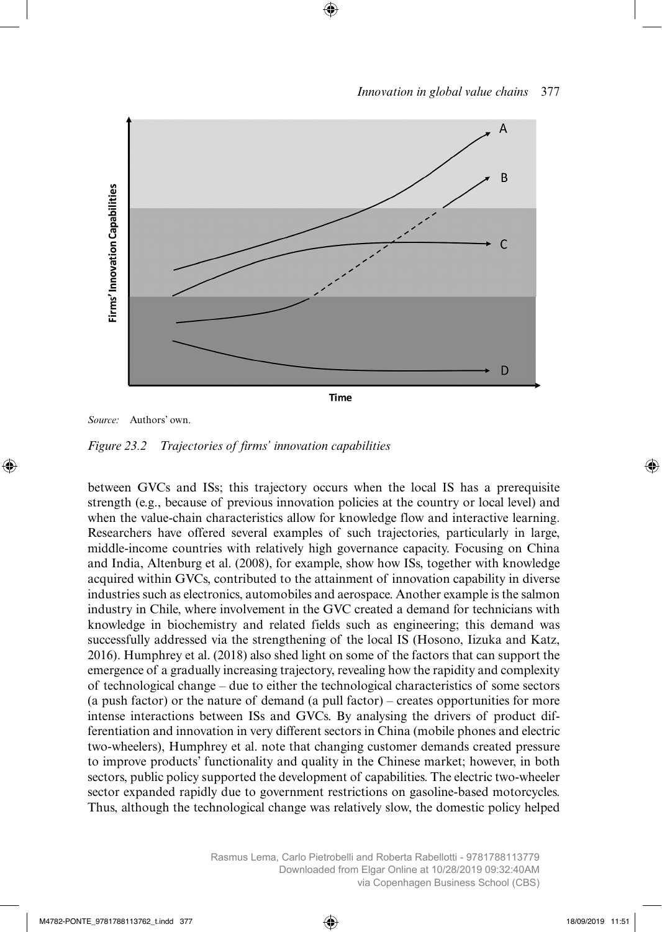

*Source:* Authors' own.

*Figure 23.2 Trajectories of firms' innovation capabilities*

between GVCs and ISs; this trajectory occurs when the local IS has a prerequisite strength (e.g., because of previous innovation policies at the country or local level) and when the value-chain characteristics allow for knowledge flow and interactive learning. Researchers have offered several examples of such trajectories, particularly in large, middle-income countries with relatively high governance capacity. Focusing on China and India, Altenburg et al. (2008), for example, show how ISs, together with knowledge acquired within GVCs, contributed to the attainment of innovation capability in diverse industries such as electronics, automobiles and aerospace. Another example is the salmon industry in Chile, where involvement in the GVC created a demand for technicians with knowledge in biochemistry and related fields such as engineering; this demand was successfully addressed via the strengthening of the local IS (Hosono, Iizuka and Katz, 2016). Humphrey et al. (2018) also shed light on some of the factors that can support the emergence of a gradually increasing trajectory, revealing how the rapidity and complexity of technological change – due to either the technological characteristics of some sectors (a push factor) or the nature of demand (a pull factor) – creates opportunities for more intense interactions between ISs and GVCs. By analysing the drivers of product differentiation and innovation in very different sectors in China (mobile phones and electric two-wheelers), Humphrey et al. note that changing customer demands created pressure to improve products' functionality and quality in the Chinese market; however, in both sectors, public policy supported the development of capabilities. The electric two-wheeler sector expanded rapidly due to government restrictions on gasoline-based motorcycles. Thus, although the technological change was relatively slow, the domestic policy helped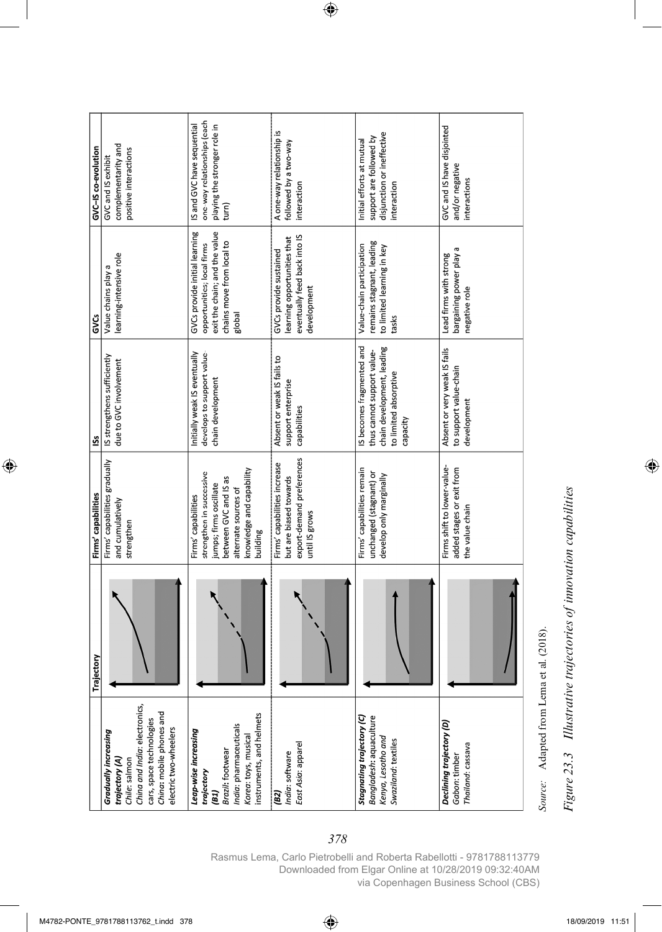| GVC-IS co-evolution | complementarity and<br>positive interactions<br>GVC and IS exhibit                                                                                                               | one-way relationships (each<br>playing the stronger role in<br>turn)<br>IS and GVC have sequential                                                                 | A one-way relationship is<br>followed by a two-way<br>interaction                                     | disjunction or ineffective<br>support are followed by<br>Initial efforts at mutual<br>interaction                          | GVC and IS have disjointed<br>and/or negative<br>interactions               |
|---------------------|----------------------------------------------------------------------------------------------------------------------------------------------------------------------------------|--------------------------------------------------------------------------------------------------------------------------------------------------------------------|-------------------------------------------------------------------------------------------------------|----------------------------------------------------------------------------------------------------------------------------|-----------------------------------------------------------------------------|
| <b>GVCS</b>         | earning-intensive role<br>Value chains play a                                                                                                                                    | GVCs provide initial learning<br>exit the chain; and the value<br>chains move from local to<br>opportunities; local firms<br>global                                | eventually feed back into IS<br>learning opportunities that<br>GVCs provide sustained<br>development  | remains stagnant, leading<br>Value-chain participation<br>to limited learning in key<br>tasks                              | bargaining power play a<br>Lead firms with strong<br>negative role          |
| <u>is</u>           | IS strengthens sufficiently<br>due to GVC involvement                                                                                                                            | Initially weak IS eventually<br>develops to support value-<br>chain development                                                                                    | Absent or weak IS fails to<br>support enterprise<br>capabilities                                      | IS becomes fragmented and<br>chain development, leading<br>thus cannot support value-<br>to limited absorptive<br>capacity | Absent or very weak IS fails<br>to support value-chain<br>development       |
| Firms' capabilities | Firms' capabilities gradually<br>and cumulatively<br>strengthen                                                                                                                  | knowledge and capability<br>strengthen in successive<br>between GVC and IS as<br>jumps; firms oscillate<br>alternate sources of<br>Firms' capabilities<br>building | export-demand preferences<br>Firms' capabilities increase<br>but are biased towards<br>until IS grows | Firms' capabilities remain<br>unchanged (stagnant) or<br>develop only marginally                                           | Firms shift to lower-value-<br>added stages or exit from<br>the value chain |
| jectory<br>Tra      |                                                                                                                                                                                  |                                                                                                                                                                    |                                                                                                       |                                                                                                                            |                                                                             |
|                     | China and India: electronics,<br>China: mobile phones and<br>cars, space technologies<br>electric two-wheelers<br><b>Gradually increasing</b><br>trajectory (A)<br>Chile: salmon | instruments, and helmets<br>India: pharmaceuticals<br>Leap-wise increasing<br>Korea: toys, musical<br>Brazil: footwear<br>trajectory<br>(BI)                       | East Asia: apparel<br>India: software<br>(B2)                                                         | Bangladesh: aquaculture<br>Stagnating trajectory (C)<br>Kenya, Lesotho and<br>Swaziland: textiles                          | Declining trajectory (D)<br>Thailand: cassava<br>Gabon: timber              |

Figure 23.3 Illustrative trajectories of innovation capabilities *Figure 23.3 Illustrative trajectories of innovation capabilities*

*Source:* Adapted from Lema et al. (2018).

Source: Adapted from Lema et al. (2018).

Rasmus Lema, Carlo Pietrobelli and Roberta Rabellotti - 9781788113779 Downloaded from Elgar Online at 10/28/2019 09:32:40AM via Copenhagen Business School (CBS)

*378*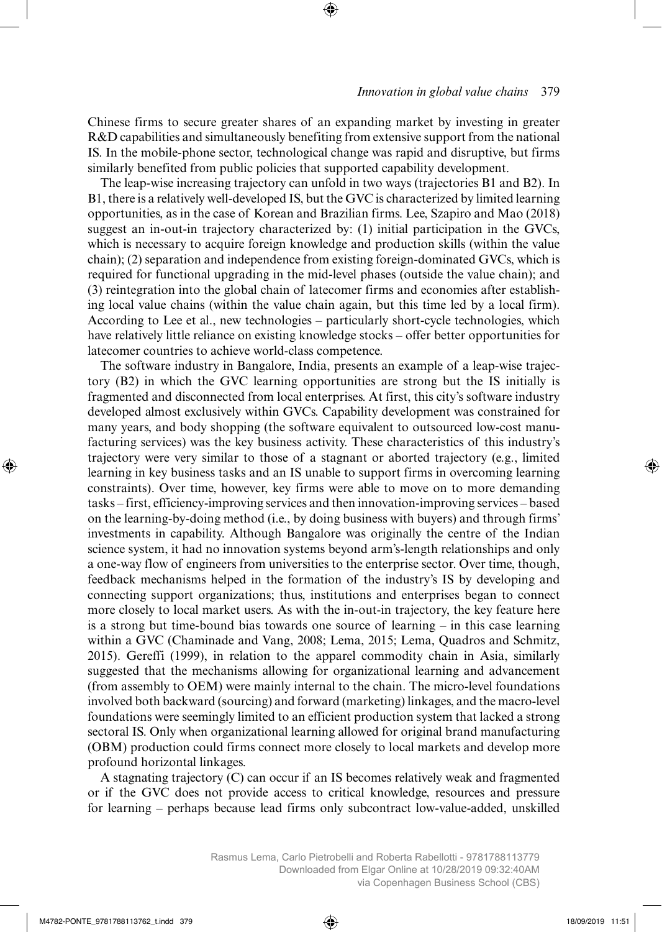Chinese firms to secure greater shares of an expanding market by investing in greater R&D capabilities and simultaneously benefiting from extensive support from the national IS. In the mobile-phone sector, technological change was rapid and disruptive, but firms similarly benefited from public policies that supported capability development.

The leap-wise increasing trajectory can unfold in two ways (trajectories B1 and B2). In B1, there is a relatively well-developed IS, but the GVC is characterized by limited learning opportunities, as in the case of Korean and Brazilian firms. Lee, Szapiro and Mao (2018) suggest an in-out-in trajectory characterized by: (1) initial participation in the GVCs, which is necessary to acquire foreign knowledge and production skills (within the value chain); (2) separation and independence from existing foreign-dominated GVCs, which is required for functional upgrading in the mid-level phases (outside the value chain); and (3) reintegration into the global chain of latecomer firms and economies after establishing local value chains (within the value chain again, but this time led by a local firm). According to Lee et al., new technologies – particularly short-cycle technologies, which have relatively little reliance on existing knowledge stocks – offer better opportunities for latecomer countries to achieve world-class competence.

The software industry in Bangalore, India, presents an example of a leap-wise trajectory (B2) in which the GVC learning opportunities are strong but the IS initially is fragmented and disconnected from local enterprises. At first, this city's software industry developed almost exclusively within GVCs. Capability development was constrained for many years, and body shopping (the software equivalent to outsourced low-cost manufacturing services) was the key business activity. These characteristics of this industry's trajectory were very similar to those of a stagnant or aborted trajectory (e.g., limited learning in key business tasks and an IS unable to support firms in overcoming learning constraints). Over time, however, key firms were able to move on to more demanding tasks – first, efficiency-improving services and then innovation-improving services – based on the learning-by-doing method (i.e., by doing business with buyers) and through firms' investments in capability. Although Bangalore was originally the centre of the Indian science system, it had no innovation systems beyond arm's-length relationships and only a one-way flow of engineers from universities to the enterprise sector. Over time, though, feedback mechanisms helped in the formation of the industry's IS by developing and connecting support organizations; thus, institutions and enterprises began to connect more closely to local market users. As with the in-out-in trajectory, the key feature here is a strong but time-bound bias towards one source of learning – in this case learning within a GVC (Chaminade and Vang, 2008; Lema, 2015; Lema, Quadros and Schmitz, 2015). Gereffi (1999), in relation to the apparel commodity chain in Asia, similarly suggested that the mechanisms allowing for organizational learning and advancement (from assembly to OEM) were mainly internal to the chain. The micro-level foundations involved both backward (sourcing) and forward (marketing) linkages, and the macro-level foundations were seemingly limited to an efficient production system that lacked a strong sectoral IS. Only when organizational learning allowed for original brand manufacturing (OBM) production could firms connect more closely to local markets and develop more profound horizontal linkages.

A stagnating trajectory (C) can occur if an IS becomes relatively weak and fragmented or if the GVC does not provide access to critical knowledge, resources and pressure for learning – perhaps because lead firms only subcontract low-value-added, unskilled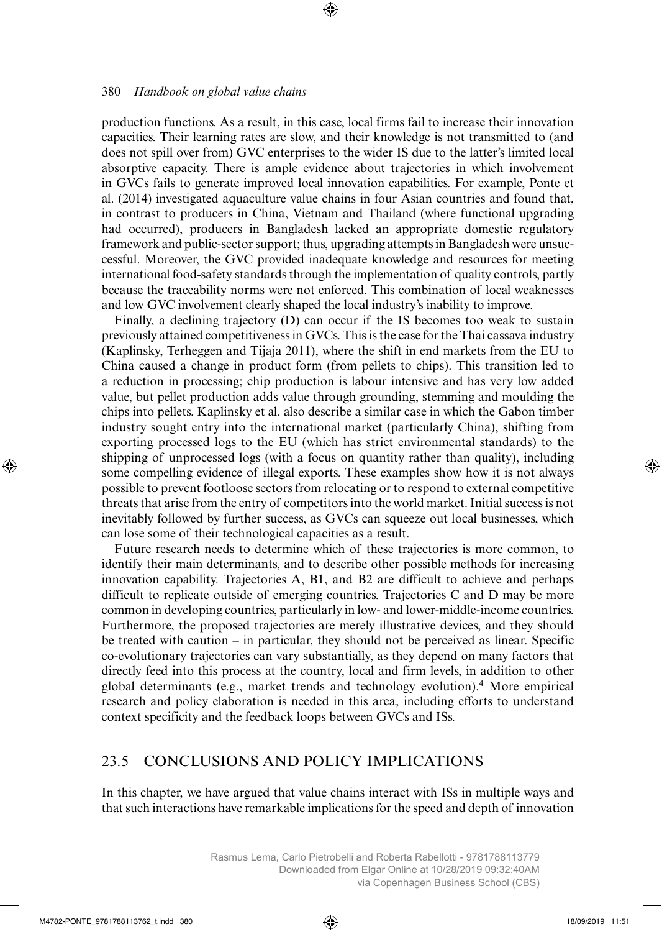production functions. As a result, in this case, local firms fail to increase their innovation capacities. Their learning rates are slow, and their knowledge is not transmitted to (and does not spill over from) GVC enterprises to the wider IS due to the latter's limited local absorptive capacity. There is ample evidence about trajectories in which involvement in GVCs fails to generate improved local innovation capabilities. For example, Ponte et al. (2014) investigated aquaculture value chains in four Asian countries and found that, in contrast to producers in China, Vietnam and Thailand (where functional upgrading had occurred), producers in Bangladesh lacked an appropriate domestic regulatory framework and public-sector support; thus, upgrading attempts in Bangladesh were unsuccessful. Moreover, the GVC provided inadequate knowledge and resources for meeting international food-safety standards through the implementation of quality controls, partly because the traceability norms were not enforced. This combination of local weaknesses and low GVC involvement clearly shaped the local industry's inability to improve.

Finally, a declining trajectory (D) can occur if the IS becomes too weak to sustain previously attained competitiveness in GVCs. This is the case for the Thai cassava industry (Kaplinsky, Terheggen and Tijaja 2011), where the shift in end markets from the EU to China caused a change in product form (from pellets to chips). This transition led to a reduction in processing; chip production is labour intensive and has very low added value, but pellet production adds value through grounding, stemming and moulding the chips into pellets. Kaplinsky et al. also describe a similar case in which the Gabon timber industry sought entry into the international market (particularly China), shifting from exporting processed logs to the EU (which has strict environmental standards) to the shipping of unprocessed logs (with a focus on quantity rather than quality), including some compelling evidence of illegal exports. These examples show how it is not always possible to prevent footloose sectors from relocating or to respond to external competitive threats that arise from the entry of competitors into the world market. Initial success is not inevitably followed by further success, as GVCs can squeeze out local businesses, which can lose some of their technological capacities as a result.

Future research needs to determine which of these trajectories is more common, to identify their main determinants, and to describe other possible methods for increasing innovation capability. Trajectories A, B1, and B2 are difficult to achieve and perhaps difficult to replicate outside of emerging countries. Trajectories C and D may be more common in developing countries, particularly in low- and lower-middle-income countries. Furthermore, the proposed trajectories are merely illustrative devices, and they should be treated with caution – in particular, they should not be perceived as linear. Specific co-evolutionary trajectories can vary substantially, as they depend on many factors that directly feed into this process at the country, local and firm levels, in addition to other global determinants (e.g., market trends and technology evolution).4 More empirical research and policy elaboration is needed in this area, including efforts to understand context specificity and the feedback loops between GVCs and ISs.

### 23.5 CONCLUSIONS AND POLICY IMPLICATIONS

In this chapter, we have argued that value chains interact with ISs in multiple ways and that such interactions have remarkable implications for the speed and depth of innovation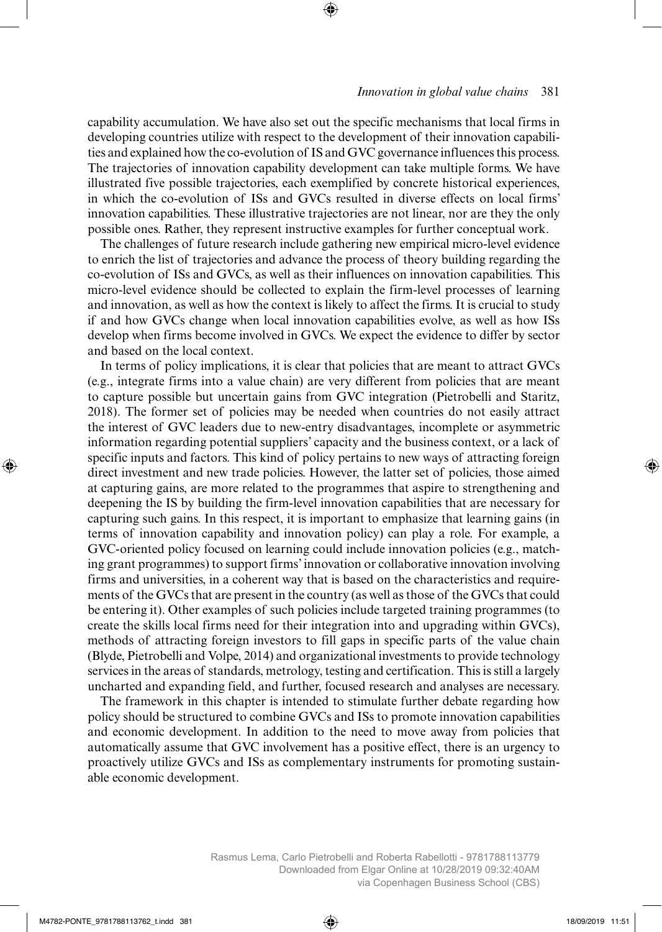capability accumulation. We have also set out the specific mechanisms that local firms in developing countries utilize with respect to the development of their innovation capabilities and explained how the co-evolution of IS and GVC governance influences this process. The trajectories of innovation capability development can take multiple forms. We have illustrated five possible trajectories, each exemplified by concrete historical experiences, in which the co-evolution of ISs and GVCs resulted in diverse effects on local firms' innovation capabilities. These illustrative trajectories are not linear, nor are they the only possible ones. Rather, they represent instructive examples for further conceptual work.

The challenges of future research include gathering new empirical micro-level evidence to enrich the list of trajectories and advance the process of theory building regarding the co-evolution of ISs and GVCs, as well as their influences on innovation capabilities. This micro-level evidence should be collected to explain the firm-level processes of learning and innovation, as well as how the context is likely to affect the firms. It is crucial to study if and how GVCs change when local innovation capabilities evolve, as well as how ISs develop when firms become involved in GVCs. We expect the evidence to differ by sector and based on the local context.

In terms of policy implications, it is clear that policies that are meant to attract GVCs (e.g., integrate firms into a value chain) are very different from policies that are meant to capture possible but uncertain gains from GVC integration (Pietrobelli and Staritz, 2018). The former set of policies may be needed when countries do not easily attract the interest of GVC leaders due to new-entry disadvantages, incomplete or asymmetric information regarding potential suppliers' capacity and the business context, or a lack of specific inputs and factors. This kind of policy pertains to new ways of attracting foreign direct investment and new trade policies. However, the latter set of policies, those aimed at capturing gains, are more related to the programmes that aspire to strengthening and deepening the IS by building the firm-level innovation capabilities that are necessary for capturing such gains. In this respect, it is important to emphasize that learning gains (in terms of innovation capability and innovation policy) can play a role. For example, a GVC-oriented policy focused on learning could include innovation policies (e.g., matching grant programmes) to support firms' innovation or collaborative innovation involving firms and universities, in a coherent way that is based on the characteristics and requirements of the GVCs that are present in the country (as well as those of the GVCs that could be entering it). Other examples of such policies include targeted training programmes (to create the skills local firms need for their integration into and upgrading within GVCs), methods of attracting foreign investors to fill gaps in specific parts of the value chain (Blyde, Pietrobelli and Volpe, 2014) and organizational investments to provide technology services in the areas of standards, metrology, testing and certification. This is still a largely uncharted and expanding field, and further, focused research and analyses are necessary.

The framework in this chapter is intended to stimulate further debate regarding how policy should be structured to combine GVCs and ISs to promote innovation capabilities and economic development. In addition to the need to move away from policies that automatically assume that GVC involvement has a positive effect, there is an urgency to proactively utilize GVCs and ISs as complementary instruments for promoting sustainable economic development.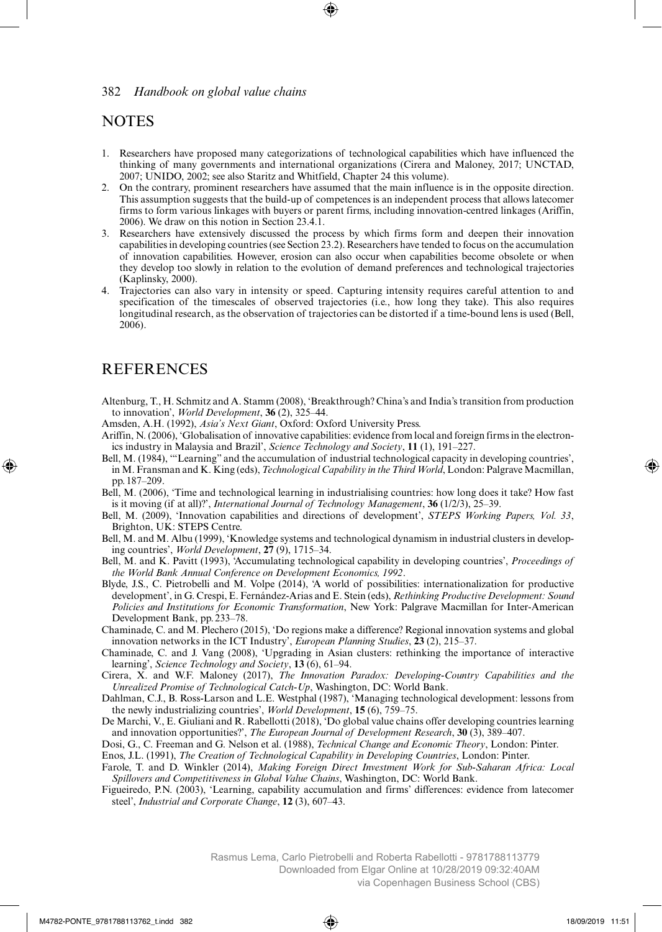## **NOTES**

- 1. Researchers have proposed many categorizations of technological capabilities which have influenced the thinking of many governments and international organizations (Cirera and Maloney, 2017; UNCTAD, 2007; UNIDO, 2002; see also Staritz and Whitfield, Chapter 24 this volume).
- 2. On the contrary, prominent researchers have assumed that the main influence is in the opposite direction. This assumption suggests that the build-up of competences is an independent process that allows latecomer firms to form various linkages with buyers or parent firms, including innovation-centred linkages (Ariffin, 2006). We draw on this notion in Section 23.4.1.
- 3. Researchers have extensively discussed the process by which firms form and deepen their innovation capabilities in developing countries (see Section 23.2). Researchers have tended to focus on the accumulation of innovation capabilities. However, erosion can also occur when capabilities become obsolete or when they develop too slowly in relation to the evolution of demand preferences and technological trajectories (Kaplinsky, 2000).
- 4. Trajectories can also vary in intensity or speed. Capturing intensity requires careful attention to and specification of the timescales of observed trajectories (i.e., how long they take). This also requires longitudinal research, as the observation of trajectories can be distorted if a time-bound lens is used (Bell, 2006).

# REFERENCES

- Altenburg, T., H. Schmitz and A. Stamm (2008), 'Breakthrough? China's and India's transition from production to innovation', *World Development*, **36** (2), 325–44.
- Amsden, A.H. (1992), *Asia's Next Giant*, Oxford: Oxford University Press.
- Ariffin, N. (2006), 'Globalisation of innovative capabilities: evidence from local and foreign firms in the electronics industry in Malaysia and Brazil', *Science Technology and Society*, **11** (1), 191–227.
- Bell, M. (1984), '"Learning" and the accumulation of industrial technological capacity in developing countries', in M. Fransman and K. King (eds), *Technological Capability in the Third World*, London: Palgrave Macmillan, pp.187–209.
- Bell, M. (2006), 'Time and technological learning in industrialising countries: how long does it take? How fast is it moving (if at all)?', *International Journal of Technology Management*, **36** (1/2/3), 25–39.
- Bell, M. (2009), 'Innovation capabilities and directions of development', *STEPS Working Papers, Vol. 33*, Brighton, UK: STEPS Centre.
- Bell, M. and M. Albu (1999), 'Knowledge systems and technological dynamism in industrial clusters in developing countries', *World Development*, **27** (9), 1715–34.
- Bell, M. and K. Pavitt (1993), 'Accumulating technological capability in developing countries', *Proceedings of the World Bank Annual Conference on Development Economics, 1992*.
- Blyde, J.S., C. Pietrobelli and M. Volpe (2014), 'A world of possibilities: internationalization for productive development', in G. Crespi, E. Fernández-Arias and E. Stein (eds), *Rethinking Productive Development: Sound Policies and Institutions for Economic Transformation*, New York: Palgrave Macmillan for Inter-American Development Bank, pp. 233–78.
- Chaminade, C. and M. Plechero (2015), 'Do regions make a difference? Regional innovation systems and global innovation networks in the ICT Industry', *European Planning Studies*, **23** (2), 215–37.
- Chaminade, C. and J. Vang (2008), 'Upgrading in Asian clusters: rethinking the importance of interactive learning', *Science Technology and Society*, **13** (6), 61–94.
- Cirera, X. and W.F. Maloney (2017), *The Innovation Paradox: Developing-Country Capabilities and the Unrealized Promise of Technological Catch-Up*, Washington, DC: World Bank.
- Dahlman, C.J., B. Ross-Larson and L.E. Westphal (1987), 'Managing technological development: lessons from the newly industrializing countries', *World Development*, **15** (6), 759–75.
- De Marchi, V., E. Giuliani and R. Rabellotti (2018), 'Do global value chains offer developing countries learning and innovation opportunities?', *The European Journal of Development Research*, **30** (3), 389–407.
- Dosi, G., C. Freeman and G. Nelson et al. (1988), *Technical Change and Economic Theory*, London: Pinter.
- Enos, J.L. (1991), *The Creation of Technological Capability in Developing Countries*, London: Pinter.
- Farole, T. and D. Winkler (2014), *Making Foreign Direct Investment Work for Sub-Saharan Africa: Local Spillovers and Competitiveness in Global Value Chains*, Washington, DC: World Bank.
- Figueiredo, P.N. (2003), 'Learning, capability accumulation and firms' differences: evidence from latecomer steel', *Industrial and Corporate Change*, **12** (3), 607–43.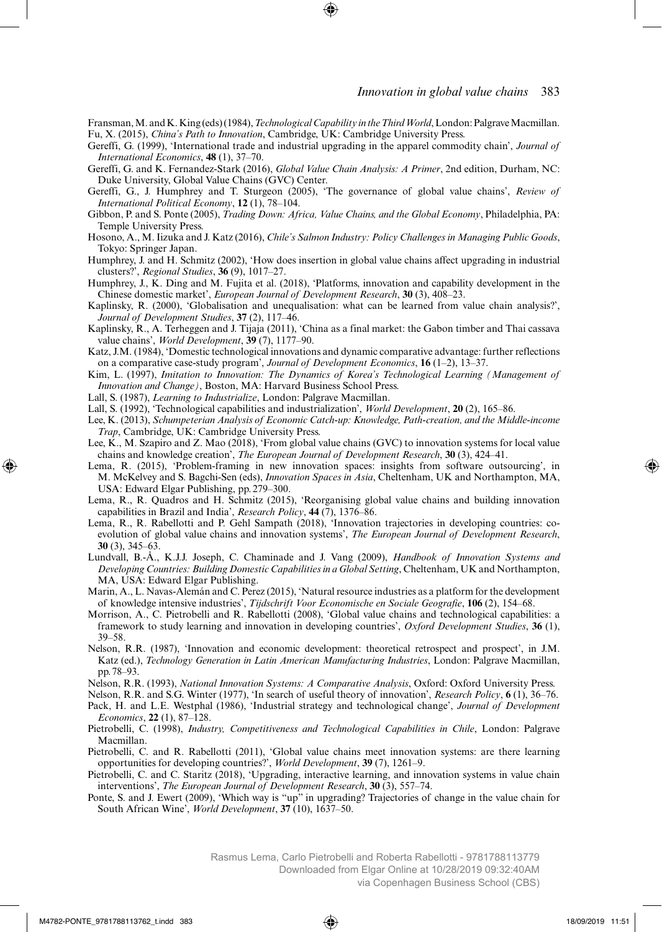Fransman, M. and K. King (eds) (1984), *TechnologicalCapability in theThirdWorld*, London: Palgrave Macmillan. Fu, X. (2015), *China's Path to Innovation*, Cambridge, UK: Cambridge University Press.

- Gereffi, G. (1999), 'International trade and industrial upgrading in the apparel commodity chain', *Journal of International Economics*, **48** (1), 37–70.
- Gereffi, G. and K. Fernandez-Stark (2016), *Global Value Chain Analysis: A Primer*, 2nd edition, Durham, NC: Duke University, Global Value Chains (GVC) Center.
- Gereffi, G., J. Humphrey and T. Sturgeon (2005), 'The governance of global value chains', *Review of International Political Economy*, **12** (1), 78–104.
- Gibbon, P. and S. Ponte (2005), *Trading Down: Africa, Value Chains, and the Global Economy*, Philadelphia, PA: Temple University Press.
- Hosono, A., M. Iizuka and J. Katz (2016), *Chile's Salmon Industry: Policy Challenges in Managing Public Goods*, Tokyo: Springer Japan.
- Humphrey, J. and H. Schmitz (2002), 'How does insertion in global value chains affect upgrading in industrial clusters?', *Regional Studies*, **36** (9), 1017–27.
- Humphrey, J., K. Ding and M. Fujita et al. (2018), 'Platforms, innovation and capability development in the Chinese domestic market', *European Journal of Development Research*, **30** (3), 408–23.
- Kaplinsky, R. (2000), 'Globalisation and unequalisation: what can be learned from value chain analysis?', *Journal of Development Studies*, **37** (2), 117–46.
- Kaplinsky, R., A. Terheggen and J. Tijaja (2011), 'China as a final market: the Gabon timber and Thai cassava value chains', *World Development*, **39** (7), 1177–90.
- Katz, J.M. (1984), 'Domestic technological innovations and dynamic comparative advantage: further reflections on a comparative case-study program', *Journal of Development Economics*, **16** (1–2), 13–37.
- Kim, L. (1997), *Imitation to Innovation: The Dynamics of Korea's Technological Learning (Management of Innovation and Change)*, Boston, MA: Harvard Business School Press.
- Lall, S. (1987), *Learning to Industrialize*, London: Palgrave Macmillan.
- Lall, S. (1992), 'Technological capabilities and industrialization', *World Development*, **20** (2), 165–86.
- Lee, K. (2013), *Schumpeterian Analysis of Economic Catch-up: Knowledge, Path-creation, and the Middle-income Trap*, Cambridge, UK: Cambridge University Press.
- Lee, K., M. Szapiro and Z. Mao (2018), 'From global value chains (GVC) to innovation systems for local value chains and knowledge creation', *The European Journal of Development Research*, **30** (3), 424–41.
- Lema, R. (2015), 'Problem-framing in new innovation spaces: insights from software outsourcing', in M. McKelvey and S. Bagchi-Sen (eds), *Innovation Spaces in Asia*, Cheltenham, UK and Northampton, MA, USA: Edward Elgar Publishing, pp. 279–300.
- Lema, R., R. Quadros and H. Schmitz (2015), 'Reorganising global value chains and building innovation capabilities in Brazil and India', *Research Policy*, **44** (7), 1376–86.
- Lema, R., R. Rabellotti and P. Gehl Sampath (2018), 'Innovation trajectories in developing countries: coevolution of global value chains and innovation systems', *The European Journal of Development Research*, **30** (3), 345–63.
- Lundvall, B.-Å., K.J.J. Joseph, C. Chaminade and J. Vang (2009), *Handbook of Innovation Systems and Developing Countries: Building Domestic Capabilities in a Global Setting*, Cheltenham, UK and Northampton, MA, USA: Edward Elgar Publishing.
- Marin, A., L. Navas-Alemán and C. Perez (2015), 'Natural resource industries as a platform for the development of knowledge intensive industries', *Tijdschrift Voor Economische en Sociale Geografie*, **106** (2), 154–68.
- Morrison, A., C. Pietrobelli and R. Rabellotti (2008), 'Global value chains and technological capabilities: a framework to study learning and innovation in developing countries', *Oxford Development Studies*, **36** (1), 39–58.
- Nelson, R.R. (1987), 'Innovation and economic development: theoretical retrospect and prospect', in J.M. Katz (ed.), *Technology Generation in Latin American Manufacturing Industries*, London: Palgrave Macmillan, pp.78–93.
- Nelson, R.R. (1993), *National Innovation Systems: A Comparative Analysis*, Oxford: Oxford University Press.
- Nelson, R.R. and S.G. Winter (1977), 'In search of useful theory of innovation', *Research Policy*, **6** (1), 36–76.
- Pack, H. and L.E. Westphal (1986), 'Industrial strategy and technological change', *Journal of Development Economics*, **22** (1), 87–128.
- Pietrobelli, C. (1998), *Industry, Competitiveness and Technological Capabilities in Chile*, London: Palgrave Macmillan.
- Pietrobelli, C. and R. Rabellotti (2011), 'Global value chains meet innovation systems: are there learning opportunities for developing countries?', *World Development*, **39** (7), 1261–9.
- Pietrobelli, C. and C. Staritz (2018), 'Upgrading, interactive learning, and innovation systems in value chain interventions', *The European Journal of Development Research*, **30** (3), 557–74.
- Ponte, S. and J. Ewert (2009), 'Which way is "up" in upgrading? Trajectories of change in the value chain for South African Wine', *World Development*, **37** (10), 1637–50.